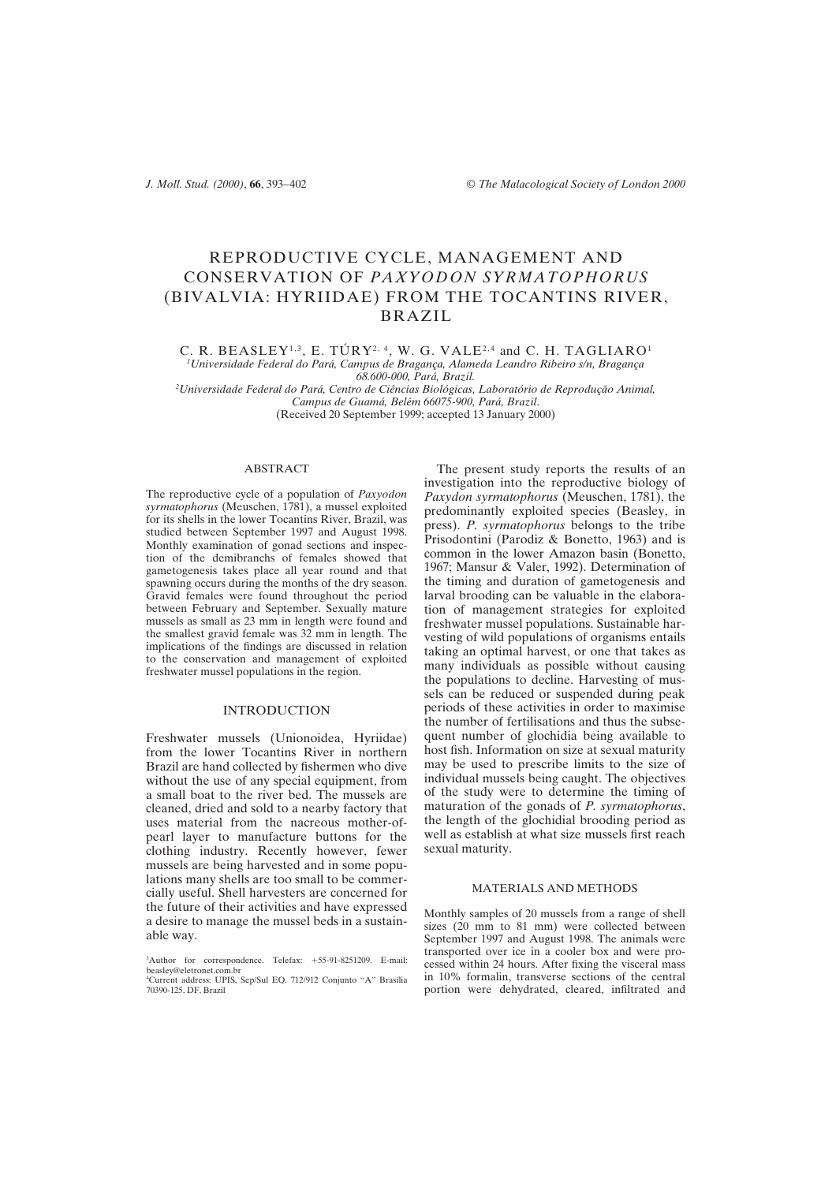# REPRODUCTIVE CYCLE, MANAGEMENT AND CONSERVATION OF *PAXYODON SYRMATOPHORUS* (BIVALVIA: HYRIIDAE) FROM THE TOCANTINS RIVER, BRAZIL

C. R. BEASLEY<sup>1,3</sup>, E. TÚRY<sup>2, 4</sup>, W. G. VALE<sup>2,4</sup> and C. H. TAGLIARO<sup>1</sup> *1 Universidade Federal do Pará, Campus de Bragança, Alameda Leandro Ribeiro s/n, Bragança 68.600-000, Pará, Brazil.*

*2 Universidade Federal do Pará, Centro de Ciências Biológicas, Laboratório de Reprodução Animal, Campus de Guamá, Belém 66075-900, Pará, Brazil*. (Received 20 September 1999; accepted 13 January 2000)

## ABSTRACT

The reproductive cycle of a population of *Paxyodon syrmatophorus* (Meuschen, 1781), a mussel exploited for its shells in the lower Tocantins River, Brazil, was studied between September 1997 and August 1998. Monthly examination of gonad sections and inspection of the demibranchs of females showed that gametogenesis takes place all year round and that spawning occurs during the months of the dry season. Gravid females were found throughout the period between February and September. Sexually mature mussels as small as 23 mm in length were found and the smallest gravid female was 32 mm in length. The implications of the findings are discussed in relation to the conservation and management of exploited freshwater mussel populations in the region.

#### INTRODUCTION

Freshwater mussels (Unionoidea, Hyriidae) from the lower Tocantins River in northern Brazil are hand collected by fishermen who dive without the use of any special equipment, from a small boat to the river bed. The mussels are cleaned, dried and sold to a nearby factory that uses material from the nacreous mother-ofpearl layer to manufacture buttons for the clothing industry. Recently however, fewer mussels are being harvested and in some populations many shells are too small to be commercially useful. Shell harvesters are concerned for the future of their activities and have expressed a desire to manage the mussel beds in a sustainable way.

The present study reports the results of an investigation into the reproductive biology of *Paxydon syrmatophorus* (Meuschen, 1781), the predominantly exploited species (Beasley, in press). *P. syrmatophorus* belongs to the tribe Prisodontini (Parodiz & Bonetto, 1963) and is common in the lower Amazon basin (Bonetto, 1967; Mansur & Valer, 1992). Determination of the timing and duration of gametogenesis and larval brooding can be valuable in the elaboration of management strategies for exploited freshwater mussel populations. Sustainable harvesting of wild populations of organisms entails taking an optimal harvest, or one that takes as many individuals as possible without causing the populations to decline. Harvesting of mussels can be reduced or suspended during peak periods of these activities in order to maximise the number of fertilisations and thus the subsequent number of glochidia being available to host fish. Information on size at sexual maturity may be used to prescribe limits to the size of individual mussels being caught. The objectives of the study were to determine the timing of maturation of the gonads of *P. syrmatophorus*, the length of the glochidial brooding period as well as establish at what size mussels first reach sexual maturity.

#### MATERIALS AND METHODS

Monthly samples of 20 mussels from a range of shell sizes (20 mm to 81 mm) were collected between September 1997 and August 1998. The animals were transported over ice in a cooler box and were processed within 24 hours. After fixing the visceral mass in 10% formalin, transverse sections of the central portion were dehydrated, cleared, infiltrated and

<sup>&</sup>lt;sup>3</sup>Author for correspondence. Telefax: +55-91-8251209. E-mail: beasley@eletronet.com.br 4 Current address: UPIS, Sep/Sul EQ. 712/912 Conjunto "A" Brasília 70390-125, DF, Brazil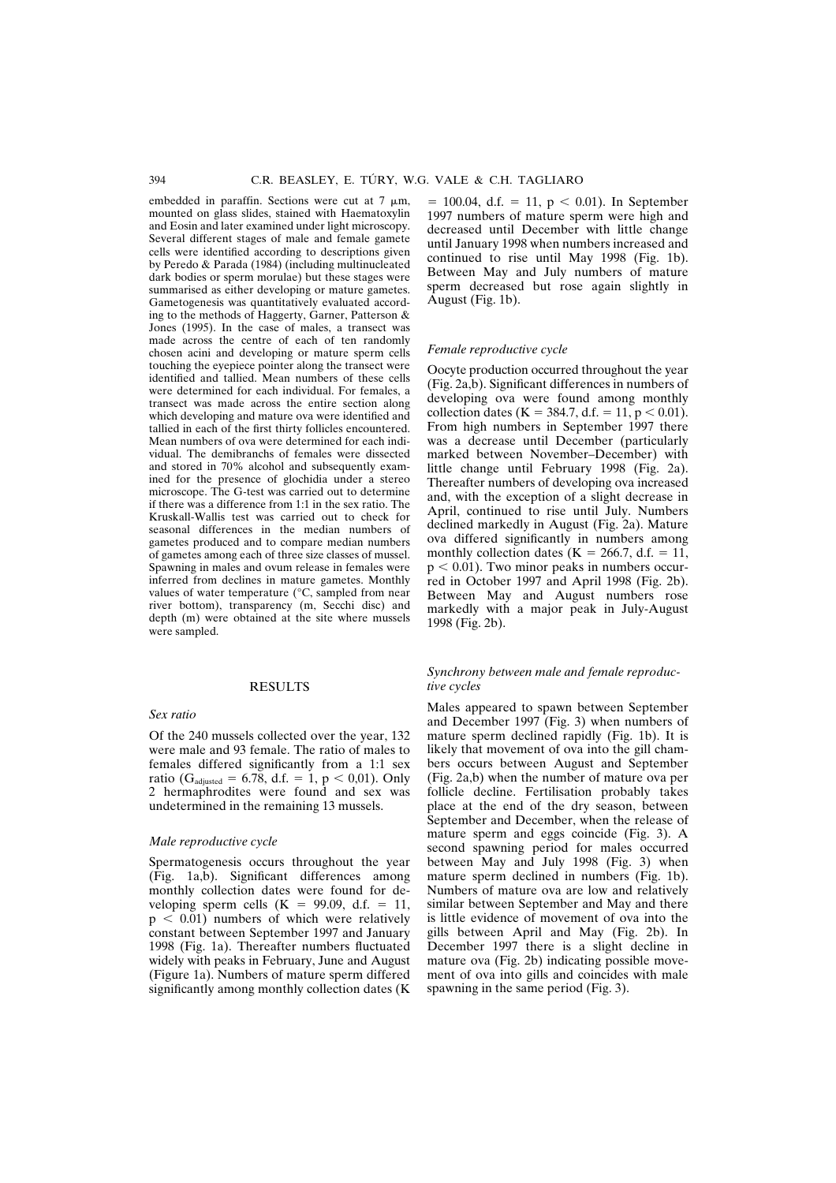embedded in paraffin. Sections were cut at  $7 \mu m$ , mounted on glass slides, stained with Haematoxylin and Eosin and later examined under light microscopy. Several different stages of male and female gamete cells were identified according to descriptions given by Peredo & Parada (1984) (including multinucleated dark bodies or sperm morulae) but these stages were summarised as either developing or mature gametes. Gametogenesis was quantitatively evaluated according to the methods of Haggerty, Garner, Patterson & Jones (1995). In the case of males, a transect was made across the centre of each of ten randomly chosen acini and developing or mature sperm cells touching the eyepiece pointer along the transect were identified and tallied. Mean numbers of these cells were determined for each individual. For females, a transect was made across the entire section along which developing and mature ova were identified and tallied in each of the first thirty follicles encountered. Mean numbers of ova were determined for each individual. The demibranchs of females were dissected and stored in 70% alcohol and subsequently examined for the presence of glochidia under a stereo microscope. The G-test was carried out to determine if there was a difference from 1:1 in the sex ratio. The Kruskall-Wallis test was carried out to check for seasonal differences in the median numbers of gametes produced and to compare median numbers of gametes among each of three size classes of mussel. Spawning in males and ovum release in females were inferred from declines in mature gametes. Monthly values of water temperature (°C, sampled from near river bottom), transparency (m, Secchi disc) and depth (m) were obtained at the site where mussels were sampled.

# RESULTS

# *Sex ratio*

Of the 240 mussels collected over the year, 132 were male and 93 female. The ratio of males to females differed significantly from a 1:1 sex ratio (G<sub>adjusted</sub> = 6.78, d.f. = 1, p < 0,01). Only 2 hermaphrodites were found and sex was undetermined in the remaining 13 mussels.

#### *Male reproductive cycle*

Spermatogenesis occurs throughout the year (Fig. 1a,b). Significant differences among monthly collection dates were found for developing sperm cells  $(K = 99.09, d.f. = 11,$  $p < 0.01$ ) numbers of which were relatively constant between September 1997 and January 1998 (Fig. 1a). Thereafter numbers fluctuated widely with peaks in February, June and August (Figure 1a). Numbers of mature sperm differed significantly among monthly collection dates (K

 $= 100.04$ , d.f.  $= 11$ ,  $p < 0.01$ ). In September 1997 numbers of mature sperm were high and decreased until December with little change until January 1998 when numbers increased and continued to rise until May 1998 (Fig. 1b). Between May and July numbers of mature sperm decreased but rose again slightly in August (Fig. 1b).

#### *Female reproductive cycle*

Oocyte production occurred throughout the year (Fig. 2a,b). Significant differences in numbers of developing ova were found among monthly collection dates (K = 384.7, d.f. = 11, p < 0.01). From high numbers in September 1997 there was a decrease until December (particularly marked between November–December) with little change until February 1998 (Fig. 2a). Thereafter numbers of developing ova increased and, with the exception of a slight decrease in April, continued to rise until July. Numbers declined markedly in August (Fig. 2a). Mature ova differed significantly in numbers among monthly collection dates ( $K = 266.7$ , d.f. = 11,  $p < 0.01$ ). Two minor peaks in numbers occurred in October 1997 and April 1998 (Fig. 2b). Between May and August numbers rose markedly with a major peak in July-August 1998 (Fig. 2b).

## *Synchrony between male and female reproductive cycles*

Males appeared to spawn between September and December 1997 (Fig. 3) when numbers of mature sperm declined rapidly (Fig. 1b). It is likely that movement of ova into the gill chambers occurs between August and September (Fig. 2a,b) when the number of mature ova per follicle decline. Fertilisation probably takes place at the end of the dry season, between September and December, when the release of mature sperm and eggs coincide (Fig. 3). A second spawning period for males occurred between May and July 1998 (Fig. 3) when mature sperm declined in numbers (Fig. 1b). Numbers of mature ova are low and relatively similar between September and May and there is little evidence of movement of ova into the gills between April and May (Fig. 2b). In December 1997 there is a slight decline in mature ova (Fig. 2b) indicating possible movement of ova into gills and coincides with male spawning in the same period (Fig. 3).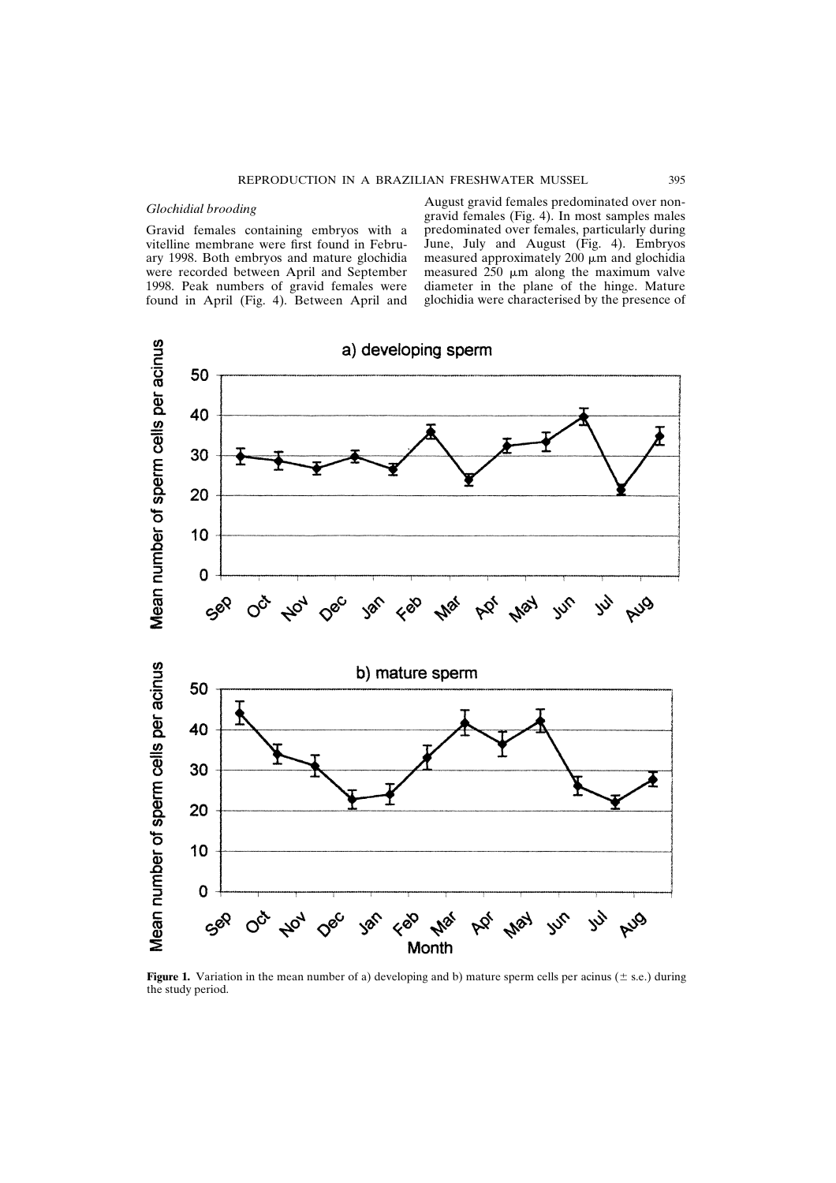# *Glochidial brooding*

Gravid females containing embryos with a vitelline membrane were first found in February 1998. Both embryos and mature glochidia were recorded between April and September 1998. Peak numbers of gravid females were found in April (Fig. 4). Between April and

August gravid females predominated over nongravid females (Fig. 4). In most samples males predominated over females, particularly during June, July and August (Fig. 4). Embryos measured approximately  $200 \mu m$  and glochidia measured  $250 \mu m$  along the maximum valve diameter in the plane of the hinge. Mature glochidia were characterised by the presence of



**Figure 1.** Variation in the mean number of a) developing and b) mature sperm cells per acinus ( $\pm$  s.e.) during the study period.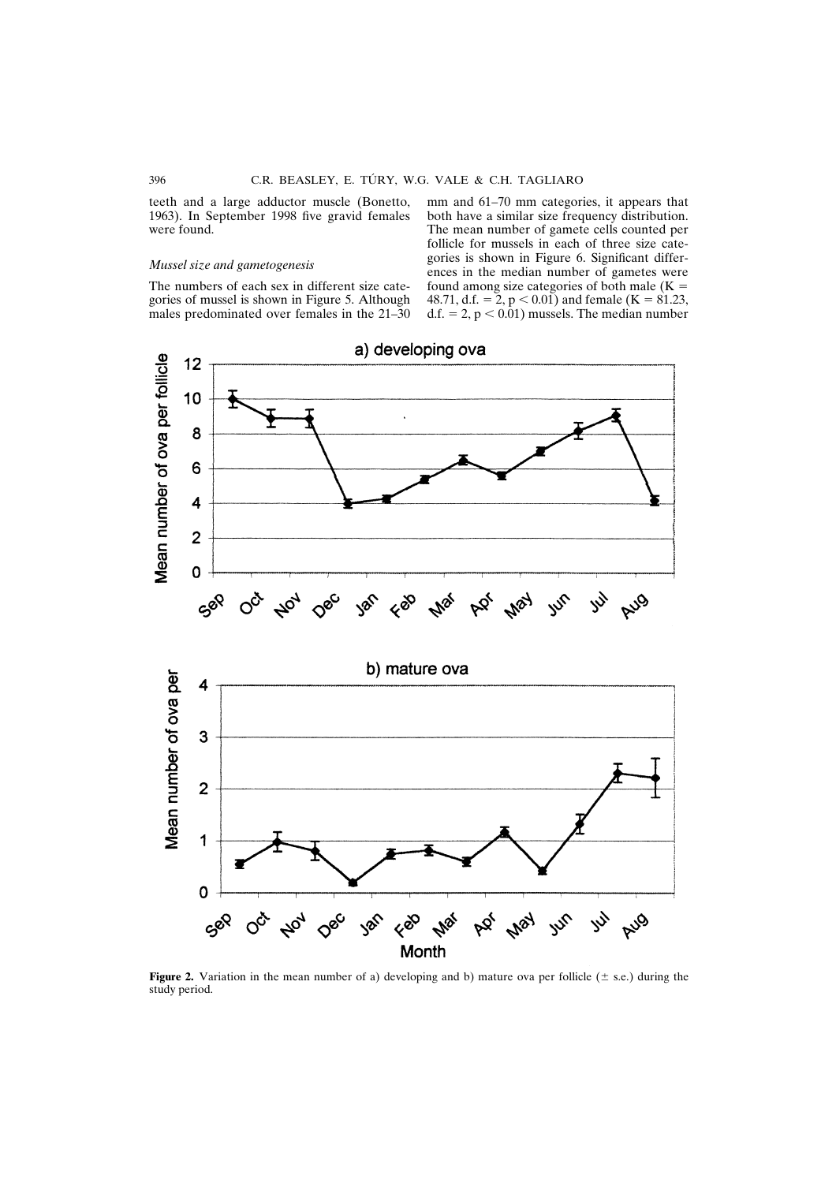teeth and a large adductor muscle (Bonetto, 1963). In September 1998 five gravid females were found.

# *Mussel size and gametogenesis*

The numbers of each sex in different size categories of mussel is shown in Figure 5. Although males predominated over females in the 21–30 mm and 61–70 mm categories, it appears that both have a similar size frequency distribution. The mean number of gamete cells counted per follicle for mussels in each of three size categories is shown in Figure 6. Significant differences in the median number of gametes were found among size categories of both male  $(K =$ 48.71, d.f. = 2,  $p < 0.01$ ) and female (K = 81.23, d.f.  $= 2$ ,  $p < 0.01$ ) mussels. The median number



**Figure 2.** Variation in the mean number of a) developing and b) mature ova per follicle ( $\pm$  s.e.) during the study period.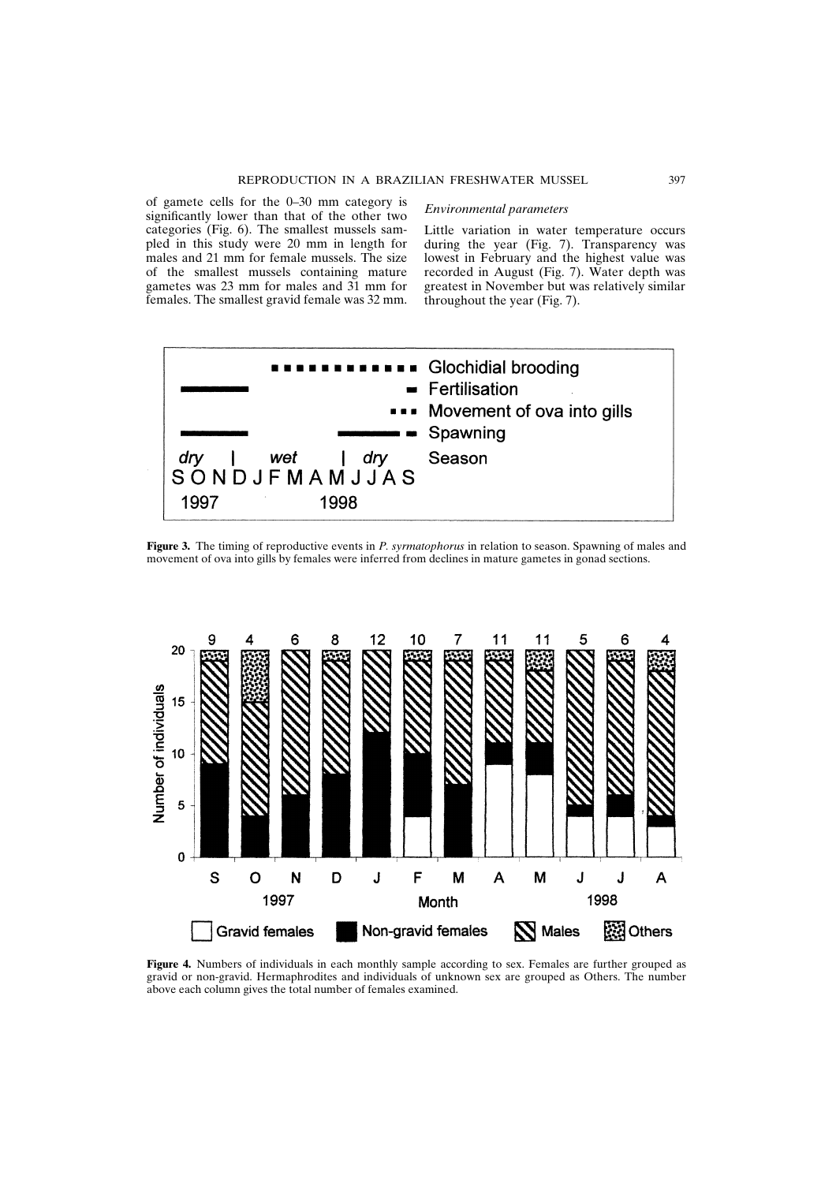of gamete cells for the 0–30 mm category is significantly lower than that of the other two categories (Fig. 6). The smallest mussels sampled in this study were 20 mm in length for males and 21 mm for female mussels. The size of the smallest mussels containing mature gametes was 23 mm for males and 31 mm for females. The smallest gravid female was 32 mm.

### *Environmental parameters*

Little variation in water temperature occurs during the year (Fig. 7). Transparency was lowest in February and the highest value was recorded in August (Fig. 7). Water depth was greatest in November but was relatively similar throughout the year (Fig. 7).



**Figure 3.** The timing of reproductive events in *P. syrmatophorus* in relation to season. Spawning of males and movement of ova into gills by females were inferred from declines in mature gametes in gonad sections.



**Figure 4.** Numbers of individuals in each monthly sample according to sex. Females are further grouped as gravid or non-gravid. Hermaphrodites and individuals of unknown sex are grouped as Others. The number above each column gives the total number of females examined.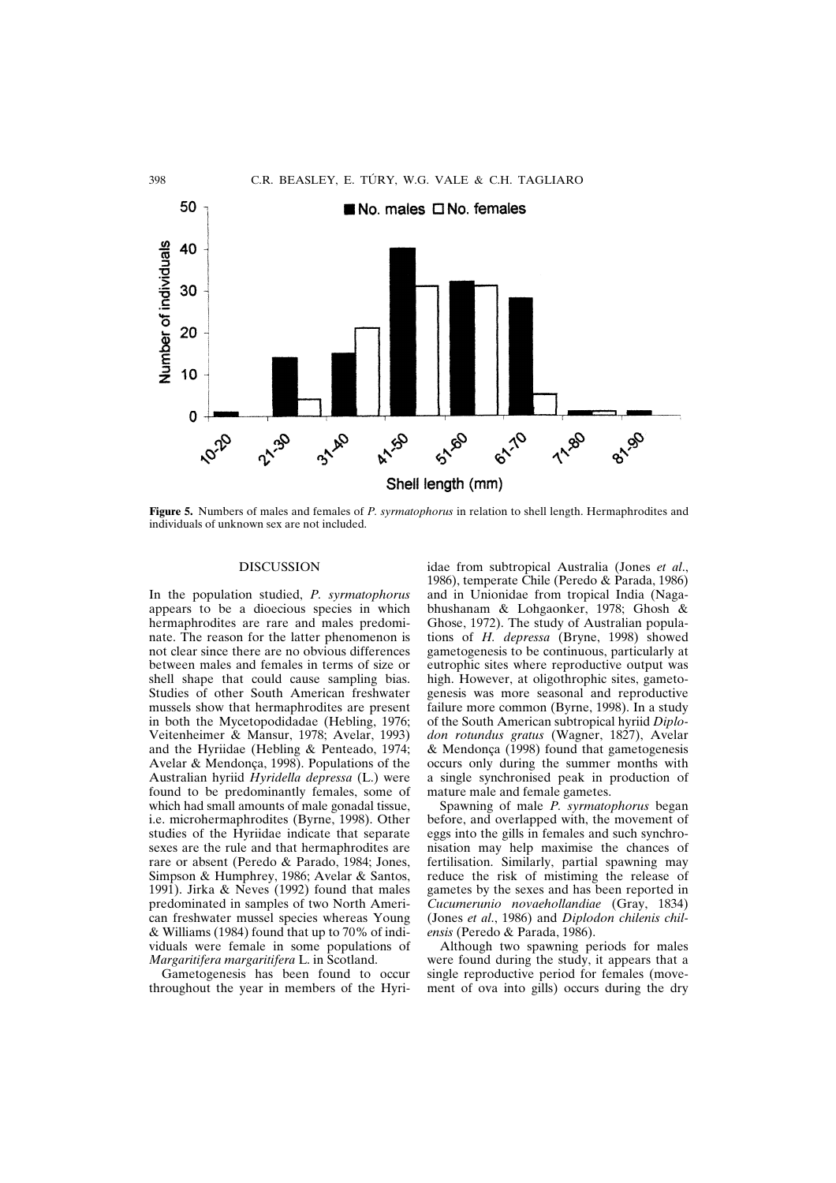

**Figure 5.** Numbers of males and females of *P. syrmatophorus* in relation to shell length. Hermaphrodites and individuals of unknown sex are not included.

## DISCUSSION

In the population studied, *P. syrmatophorus* appears to be a dioecious species in which hermaphrodites are rare and males predominate. The reason for the latter phenomenon is not clear since there are no obvious differences between males and females in terms of size or shell shape that could cause sampling bias. Studies of other South American freshwater mussels show that hermaphrodites are present in both the Mycetopodidadae (Hebling, 1976; Veitenheimer & Mansur, 1978; Avelar, 1993) and the Hyriidae (Hebling & Penteado, 1974; Avelar & Mendonça, 1998). Populations of the Australian hyriid *Hyridella depressa* (L.) were found to be predominantly females, some of which had small amounts of male gonadal tissue, i.e. microhermaphrodites (Byrne, 1998). Other studies of the Hyriidae indicate that separate sexes are the rule and that hermaphrodites are rare or absent (Peredo & Parado, 1984; Jones, Simpson & Humphrey, 1986; Avelar & Santos, 1991). Jirka & Neves (1992) found that males predominated in samples of two North American freshwater mussel species whereas Young & Williams (1984) found that up to 70% of individuals were female in some populations of *Margaritifera margaritifera* L. in Scotland.

Gametogenesis has been found to occur throughout the year in members of the Hyriidae from subtropical Australia (Jones *et al*., 1986), temperate Chile (Peredo & Parada, 1986) and in Unionidae from tropical India (Nagabhushanam & Lohgaonker, 1978; Ghosh & Ghose, 1972). The study of Australian populations of *H. depressa* (Bryne, 1998) showed gametogenesis to be continuous, particularly at eutrophic sites where reproductive output was high. However, at oligothrophic sites, gametogenesis was more seasonal and reproductive failure more common (Byrne, 1998). In a study of the South American subtropical hyriid *Diplodon rotundus gratus* (Wagner, 1827), Avelar & Mendonça (1998) found that gametogenesis occurs only during the summer months with a single synchronised peak in production of mature male and female gametes.

Spawning of male *P. syrmatophorus* began before, and overlapped with, the movement of eggs into the gills in females and such synchronisation may help maximise the chances of fertilisation. Similarly, partial spawning may reduce the risk of mistiming the release of gametes by the sexes and has been reported in *Cucumerunio novaehollandiae* (Gray, 1834) (Jones *et al*., 1986) and *Diplodon chilenis chilensis* (Peredo & Parada, 1986).

Although two spawning periods for males were found during the study, it appears that a single reproductive period for females (movement of ova into gills) occurs during the dry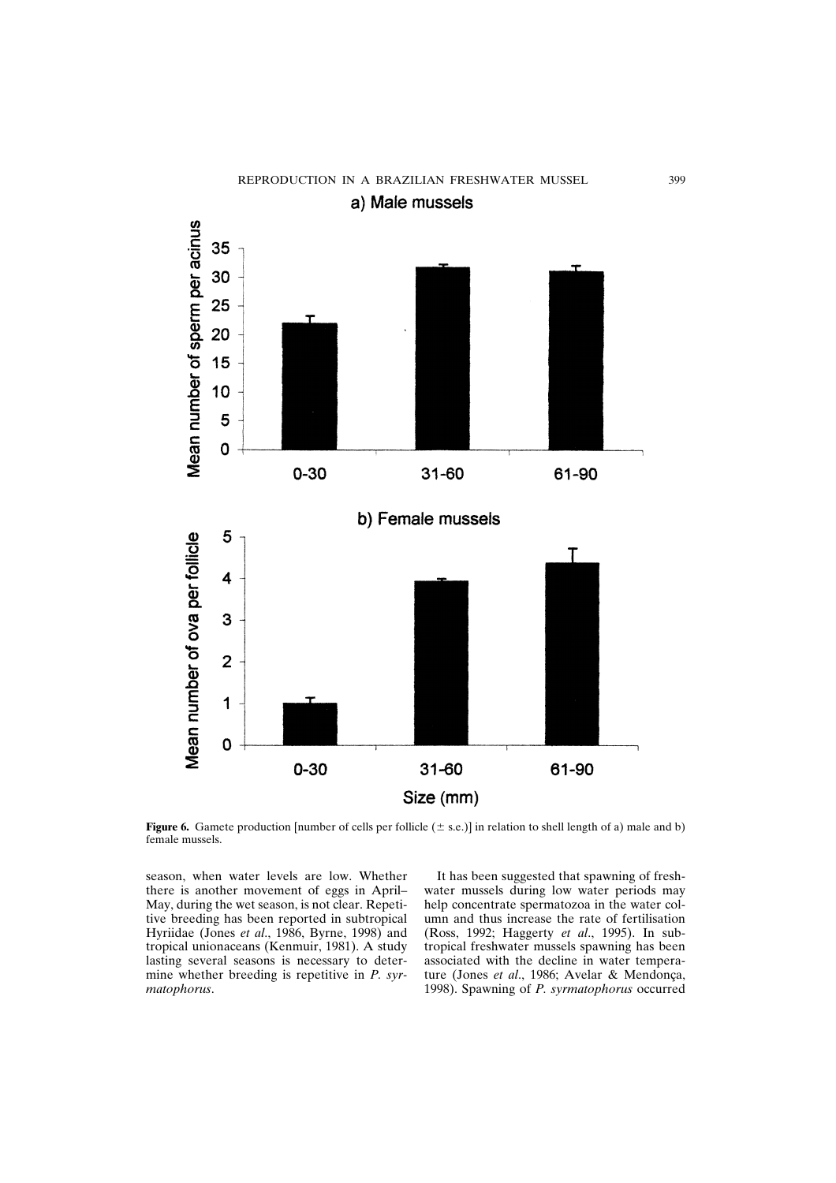

**Figure 6.** Gamete production [number of cells per follicle  $(\pm s.e.)$ ] in relation to shell length of a) male and b) female mussels.

season, when water levels are low. Whether there is another movement of eggs in April– May, during the wet season, is not clear. Repetitive breeding has been reported in subtropical Hyriidae (Jones *et al*., 1986, Byrne, 1998) and tropical unionaceans (Kenmuir, 1981). A study lasting several seasons is necessary to determine whether breeding is repetitive in *P. syrmatophorus*.

It has been suggested that spawning of freshwater mussels during low water periods may help concentrate spermatozoa in the water column and thus increase the rate of fertilisation (Ross, 1992; Haggerty *et al*., 1995). In subtropical freshwater mussels spawning has been associated with the decline in water temperature (Jones *et al*., 1986; Avelar & Mendonça, 1998). Spawning of *P. syrmatophorus* occurred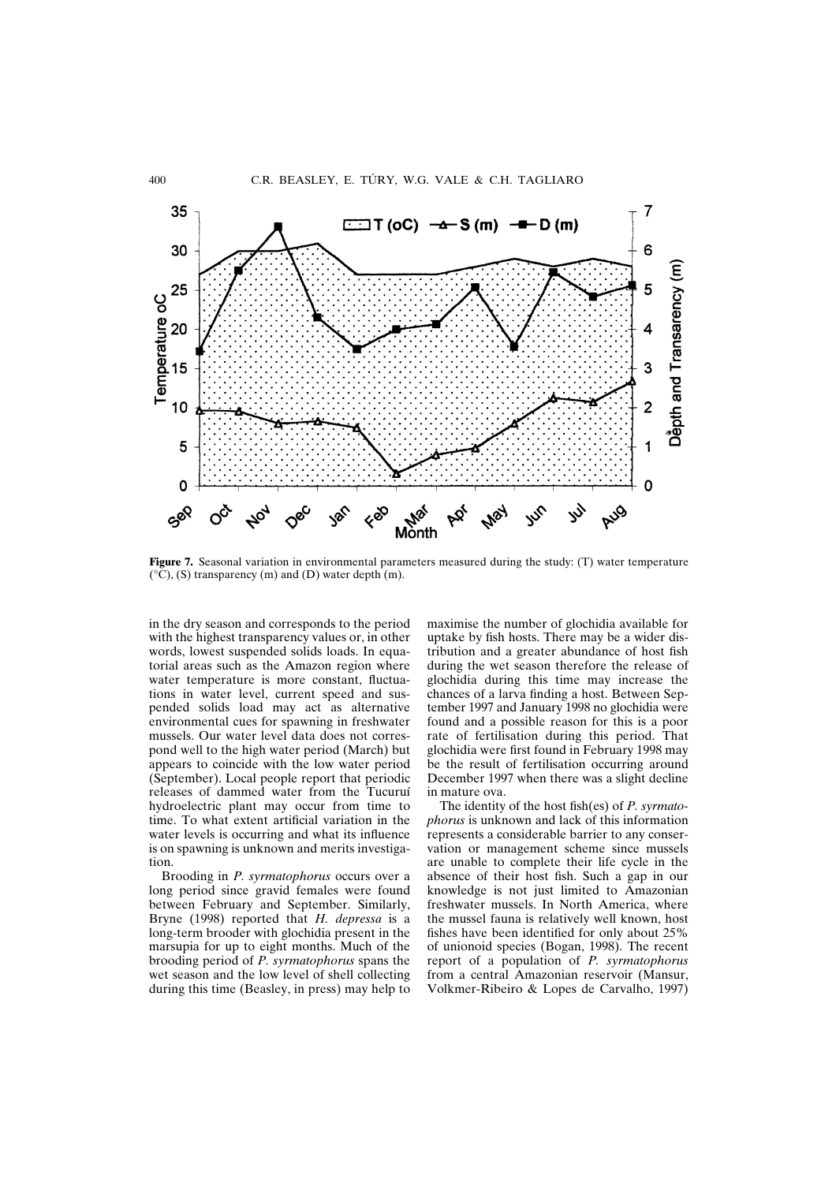

**Figure 7.** Seasonal variation in environmental parameters measured during the study: (T) water temperature  $(^{\circ}\mathrm{C})$ , (S) transparency (m) and (D) water depth (m).

in the dry season and corresponds to the period with the highest transparency values or, in other words, lowest suspended solids loads. In equatorial areas such as the Amazon region where water temperature is more constant, fluctuations in water level, current speed and suspended solids load may act as alternative environmental cues for spawning in freshwater mussels. Our water level data does not correspond well to the high water period (March) but appears to coincide with the low water period (September). Local people report that periodic releases of dammed water from the Tucuruí hydroelectric plant may occur from time to time. To what extent artificial variation in the water levels is occurring and what its influence is on spawning is unknown and merits investigation.

Brooding in *P. syrmatophorus* occurs over a long period since gravid females were found between February and September. Similarly, Bryne (1998) reported that *H. depressa* is a long-term brooder with glochidia present in the marsupia for up to eight months. Much of the brooding period of *P. syrmatophorus* spans the wet season and the low level of shell collecting during this time (Beasley, in press) may help to maximise the number of glochidia available for uptake by fish hosts. There may be a wider distribution and a greater abundance of host fish during the wet season therefore the release of glochidia during this time may increase the chances of a larva finding a host. Between September 1997 and January 1998 no glochidia were found and a possible reason for this is a poor rate of fertilisation during this period. That glochidia were first found in February 1998 may be the result of fertilisation occurring around December 1997 when there was a slight decline in mature ova.

The identity of the host fish(es) of *P. syrmatophorus* is unknown and lack of this information represents a considerable barrier to any conservation or management scheme since mussels are unable to complete their life cycle in the absence of their host fish. Such a gap in our knowledge is not just limited to Amazonian freshwater mussels. In North America, where the mussel fauna is relatively well known, host fishes have been identified for only about 25% of unionoid species (Bogan, 1998). The recent report of a population of *P. syrmatophorus* from a central Amazonian reservoir (Mansur, Volkmer-Ribeiro & Lopes de Carvalho, 1997)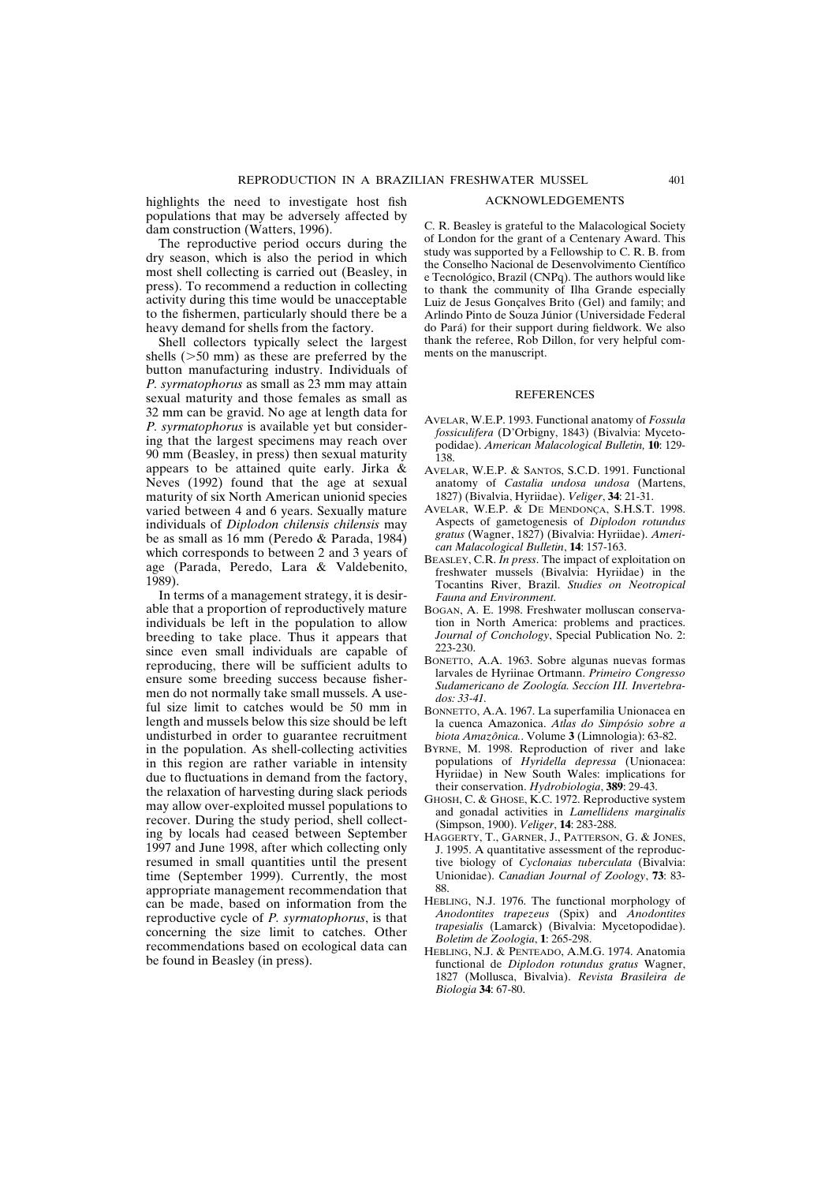highlights the need to investigate host fish populations that may be adversely affected by dam construction (Watters, 1996).

The reproductive period occurs during the dry season, which is also the period in which most shell collecting is carried out (Beasley, in press). To recommend a reduction in collecting activity during this time would be unacceptable to the fishermen, particularly should there be a heavy demand for shells from the factory.

Shell collectors typically select the largest shells  $(50 \text{ mm})$  as these are preferred by the button manufacturing industry. Individuals of *P. syrmatophorus* as small as 23 mm may attain sexual maturity and those females as small as 32 mm can be gravid. No age at length data for *P. syrmatophorus* is available yet but considering that the largest specimens may reach over 90 mm (Beasley, in press) then sexual maturity appears to be attained quite early. Jirka & Neves (1992) found that the age at sexual maturity of six North American unionid species varied between 4 and 6 years. Sexually mature individuals of *Diplodon chilensis chilensis* may be as small as 16 mm (Peredo & Parada, 1984) which corresponds to between 2 and 3 years of age (Parada, Peredo, Lara & Valdebenito, 1989).

In terms of a management strategy, it is desirable that a proportion of reproductively mature individuals be left in the population to allow breeding to take place. Thus it appears that since even small individuals are capable of reproducing, there will be sufficient adults to ensure some breeding success because fishermen do not normally take small mussels. A useful size limit to catches would be 50 mm in length and mussels below this size should be left undisturbed in order to guarantee recruitment in the population. As shell-collecting activities in this region are rather variable in intensity due to fluctuations in demand from the factory, the relaxation of harvesting during slack periods may allow over-exploited mussel populations to recover. During the study period, shell collecting by locals had ceased between September 1997 and June 1998, after which collecting only resumed in small quantities until the present time (September 1999). Currently, the most appropriate management recommendation that can be made, based on information from the reproductive cycle of *P. syrmatophorus*, is that concerning the size limit to catches. Other recommendations based on ecological data can be found in Beasley (in press).

#### ACKNOWLEDGEMENTS

C. R. Beasley is grateful to the Malacological Society of London for the grant of a Centenary Award. This study was supported by a Fellowship to C. R. B. from the Conselho Nacional de Desenvolvimento Científico e Tecnológico, Brazil (CNPq). The authors would like to thank the community of Ilha Grande especially Luiz de Jesus Gonçalves Brito (Gel) and family; and Arlindo Pinto de Souza Júnior (Universidade Federal do Pará) for their support during fieldwork. We also thank the referee, Rob Dillon, for very helpful comments on the manuscript.

#### **REFERENCES**

- AVELAR, W.E.P. 1993. Functional anatomy of *Fossula fossiculifera* (D'Orbigny, 1843) (Bivalvia: Mycetopodidae). *American Malacological Bulletin,* **10**: 129- 138.
- AVELAR, W.E.P. & SANTOS, S.C.D. 1991. Functional anatomy of *Castalia undosa undosa* (Martens, 1827) (Bivalvia, Hyriidae). *Veliger*, **34**: 21-31.
- AVELAR, W.E.P. & DE MENDONÇA, S.H.S.T. 1998. Aspects of gametogenesis of *Diplodon rotundus gratus* (Wagner, 1827) (Bivalvia: Hyriidae). *American Malacological Bulletin*, **14**: 157-163.
- BEASLEY, C.R. *In press*. The impact of exploitation on freshwater mussels (Bivalvia: Hyriidae) in the Tocantins River, Brazil. *Studies on Neotropical Fauna and Environment*.
- BOGAN, A. E. 1998. Freshwater molluscan conservation in North America: problems and practices. *Journal of Conchology*, Special Publication No. 2: 223-230.
- BONETTO, A.A. 1963. Sobre algunas nuevas formas larvales de Hyriinae Ortmann. *Primeiro Congresso Sudamericano de Zoología. Seccíon III. Invertebrados: 33-41.*
- BONNETTO, A.A. 1967. La superfamilia Unionacea en la cuenca Amazonica. *Atlas do Simpósio sobre a biota Amazônica.*. Volume **3** (Limnologia): 63-82.
- BYRNE, M. 1998. Reproduction of river and lake populations of *Hyridella depressa* (Unionacea: Hyriidae) in New South Wales: implications for their conservation. *Hydrobiologia*, **389**: 29-43.
- GHOSH, C. & GHOSE, K.C. 1972. Reproductive system and gonadal activities in *Lamellidens marginalis* (Simpson, 1900). *Veliger*, **14**: 283-288.
- HAGGERTY, T., GARNER, J., PATTERSON, G. & JONES, J. 1995. A quantitative assessment of the reproductive biology of *Cyclonaias tuberculata* (Bivalvia: Unionidae). *Canadian Journal of Zoology*, **73**: 83- 88.
- HEBLING, N.J. 1976. The functional morphology of *Anodontites trapezeus* (Spix) and *Anodontites trapesialis* (Lamarck) (Bivalvia: Mycetopodidae). *Boletim de Zoologia*, **1**: 265-298.
- HEBLING, N.J. & PENTEADO, A.M.G. 1974. Anatomia functional de *Diplodon rotundus gratus* Wagner, 1827 (Mollusca, Bivalvia). *Revista Brasileira de Biologia* **34**: 67-80.